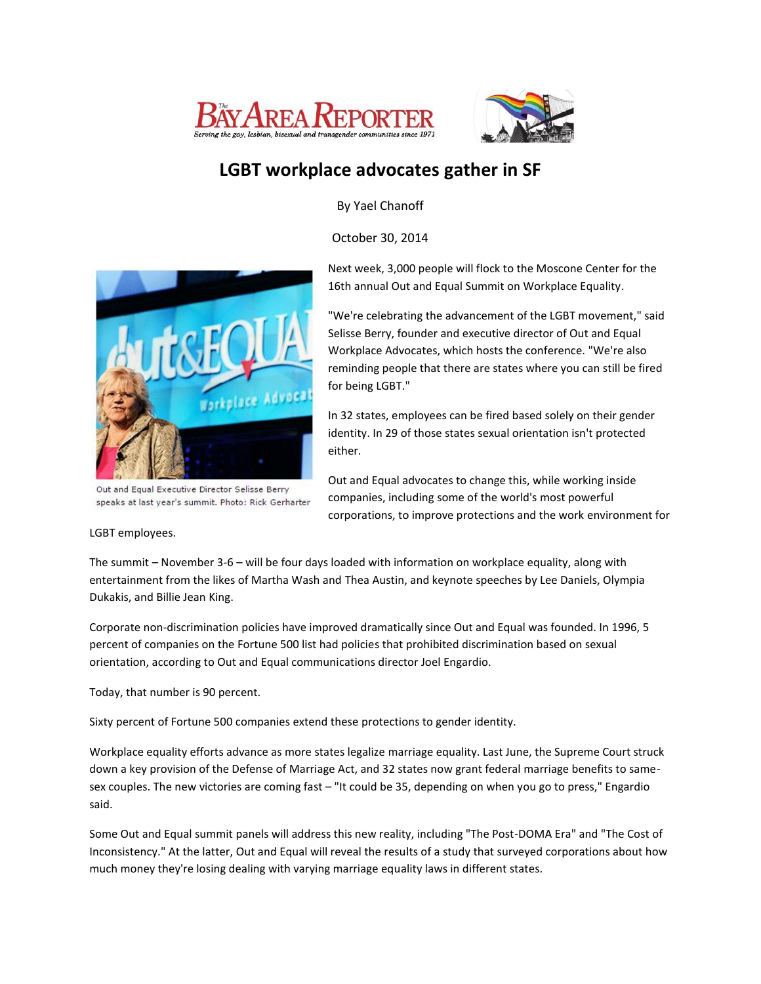



## **LGBT workplace advocates gather in SF**

By Yael Chanoff

October 30, 2014



Out and Equal Executive Director Selisse Berry speaks at last year's summit. Photo: Rick Gerharter

## LGBT employees.

Next week, 3,000 people will flock to the Moscone Center for the 16th annual Out and Equal Summit on Workplace Equality.

"We're celebrating the advancement of the LGBT movement," said Selisse Berry, founder and executive director of Out and Equal Workplace Advocates, which hosts the conference. "We're also reminding people that there are states where you can still be fired for being LGBT."

In 32 states, employees can be fired based solely on their gender identity. In 29 of those states sexual orientation isn't protected either.

Out and Equal advocates to change this, while working inside companies, including some of the world's most powerful corporations, to improve protections and the work environment for

The summit – November 3-6 – will be four days loaded with information on workplace equality, along with entertainment from the likes of Martha Wash and Thea Austin, and keynote speeches by Lee Daniels, Olympia Dukakis, and Billie Jean King.

Corporate non-discrimination policies have improved dramatically since Out and Equal was founded. In 1996, 5 percent of companies on the Fortune 500 list had policies that prohibited discrimination based on sexual orientation, according to Out and Equal communications director Joel Engardio.

Today, that number is 90 percent.

Sixty percent of Fortune 500 companies extend these protections to gender identity.

Workplace equality efforts advance as more states legalize marriage equality. Last June, the Supreme Court struck down a key provision of the Defense of Marriage Act, and 32 states now grant federal marriage benefits to samesex couples. The new victories are coming fast – "It could be 35, depending on when you go to press," Engardio said.

Some Out and Equal summit panels will address this new reality, including "The Post-DOMA Era" and "The Cost of Inconsistency." At the latter, Out and Equal will reveal the results of a study that surveyed corporations about how much money they're losing dealing with varying marriage equality laws in different states.